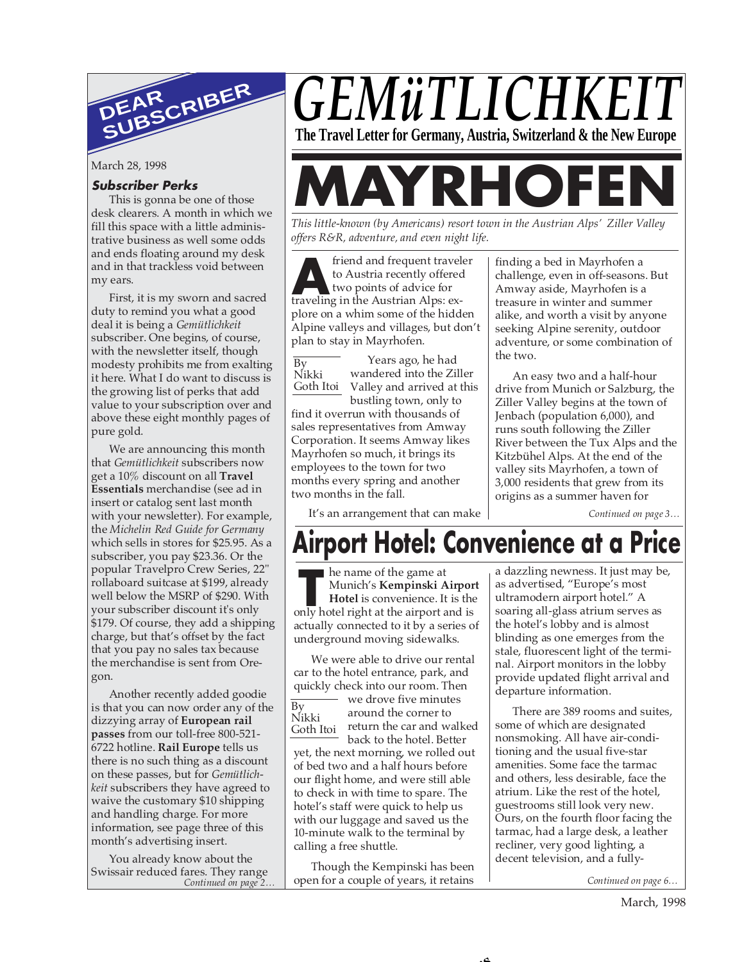

March 28, 1998

#### **Subscriber Perks**

This is gonna be one of those desk clearers. A month in which we fill this space with a little administrative business as well some odds and ends floating around my desk and in that trackless void between my ears.

First, it is my sworn and sacred duty to remind you what a good deal it is being a *Gemütlichkeit* subscriber. One begins, of course, with the newsletter itself, though modesty prohibits me from exalting it here. What I do want to discuss is the growing list of perks that add value to your subscription over and above these eight monthly pages of pure gold.

We are announcing this month that *Gemütlichkeit* subscribers now get a 10% discount on all **Travel Essentials** merchandise (see ad in insert or catalog sent last month with your newsletter). For example, the *Michelin Red Guide for Germany* which sells in stores for \$25.95. As a subscriber, you pay \$23.36. Or the popular Travelpro Crew Series, 22" rollaboard suitcase at \$199, already well below the MSRP of \$290. With your subscriber discount it's only \$179. Of course, they add a shipping charge, but that's offset by the fact that you pay no sales tax because the merchandise is sent from Oregon.

Another recently added goodie is that you can now order any of the dizzying array of **European rail passes** from our toll-free 800-521- 6722 hotline. **Rail Europe** tells us there is no such thing as a discount on these passes, but for *Gemütlichkeit* subscribers they have agreed to waive the customary \$10 shipping and handling charge. For more information, see page three of this month's advertising insert.

You already know about the Swissair reduced fares. They range<br>Continued on page 2.

# *GEMüTLICHKE* **The Travel Letter for Germany, Austria, Switzerland & the New Europe**

**RHOF** 

*This little-known (by Americans) resort town in the Austrian Alps' Ziller Valley offers R&R, adventure, and even night life.*

**A**<br>to Austria recently offered<br>two points of advice for<br>traveling in the Austrian Alps: exfriend and frequent traveler to Austria recently offered two points of advice for plore on a whim some of the hidden Alpine valleys and villages, but don't plan to stay in Mayrhofen.

Years ago, he had wandered into the Ziller Goth Itoi Valley and arrived at this bustling town, only to By Nikki

find it overrun with thousands of sales representatives from Amway Corporation. It seems Amway likes Mayrhofen so much, it brings its employees to the town for two months every spring and another two months in the fall.

finding a bed in Mayrhofen a challenge, even in off-seasons. But Amway aside, Mayrhofen is a treasure in winter and summer alike, and worth a visit by anyone seeking Alpine serenity, outdoor adventure, or some combination of the two.

An easy two and a half-hour drive from Munich or Salzburg, the Ziller Valley begins at the town of Jenbach (population 6,000), and runs south following the Ziller River between the Tux Alps and the Kitzbühel Alps. At the end of the valley sits Mayrhofen, a town of 3,000 residents that grew from its origins as a summer haven for

*Continued on page 3…*

#### It's an arrangement that can make

# **Airport Hotel: Convenience at a Price**

ے ۔

he name of the game at Munich's **Kempinski Airport Hotel** is convenience. It is the he name of the game at<br>Munich's **Kempinski Airport<br>Hotel** is convenience. It is the<br>only hotel right at the airport and is

actually connected to it by a series of underground moving sidewalks.

We were able to drive our rental car to the hotel entrance, park, and quickly check into our room. Then we drove five minutes

around the corner to Nikki but albumu the corner to<br>Goth Itoj but return the car and walked back to the hotel. Better By<br>Nikki Goth Itoi

yet, the next morning, we rolled out of bed two and a half hours before our flight home, and were still able to check in with time to spare. The hotel's staff were quick to help us with our luggage and saved us the 10-minute walk to the terminal by calling a free shuttle.

*Continued on page 2… Continued on page 6…* open for a couple of years, it retains Though the Kempinski has been

a dazzling newness. It just may be, as advertised, "Europe's most ultramodern airport hotel." A soaring all-glass atrium serves as the hotel's lobby and is almost blinding as one emerges from the stale, fluorescent light of the terminal. Airport monitors in the lobby provide updated flight arrival and departure information.

There are 389 rooms and suites, some of which are designated nonsmoking. All have air-conditioning and the usual five-star amenities. Some face the tarmac and others, less desirable, face the atrium. Like the rest of the hotel, guestrooms still look very new. Ours, on the fourth floor facing the tarmac, had a large desk, a leather recliner, very good lighting, a decent television, and a fully-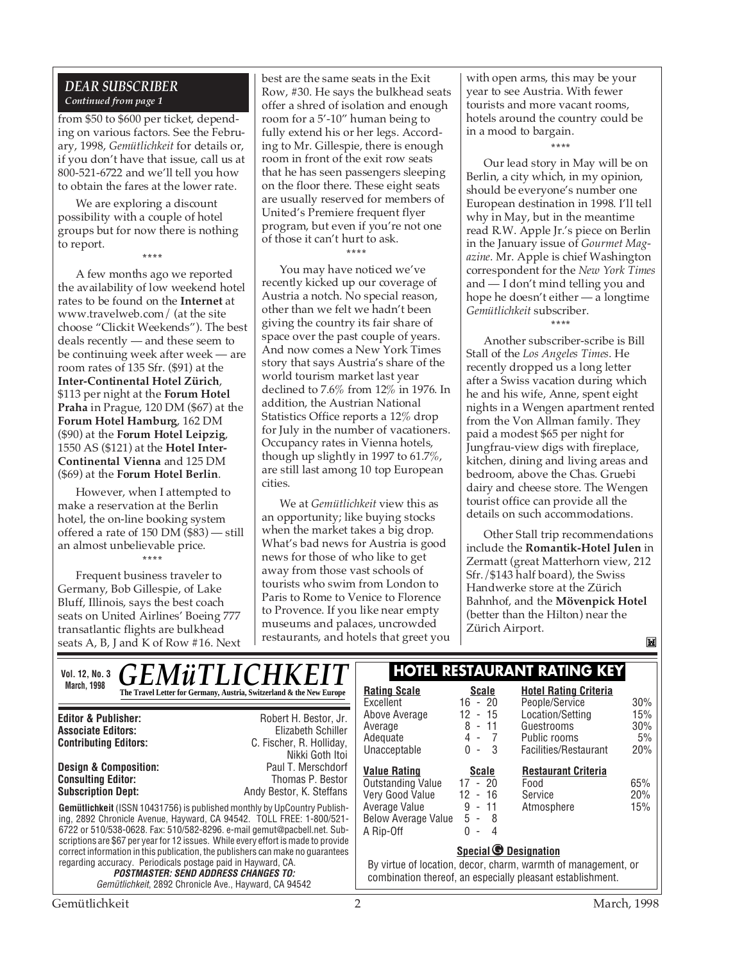#### *DEAR SUBSCRIBER Continued from page 1*

from \$50 to \$600 per ticket, depending on various factors. See the February, 1998, *Gemütlichkeit* for details or, if you don't have that issue, call us at 800-521-6722 and we'll tell you how to obtain the fares at the lower rate.

We are exploring a discount possibility with a couple of hotel groups but for now there is nothing to report. **\*\*\*\***

A few months ago we reported the availability of low weekend hotel rates to be found on the **Internet** at www.travelweb.com/ (at the site choose "Clickit Weekends"). The best deals recently — and these seem to be continuing week after week — are room rates of 135 Sfr. (\$91) at the **Inter-Continental Hotel Zürich**, \$113 per night at the **Forum Hotel Praha** in Prague, 120 DM (\$67) at the **Forum Hotel Hamburg**, 162 DM (\$90) at the **Forum Hotel Leipzig**, 1550 AS (\$121) at the **Hotel Inter-Continental Vienna** and 125 DM (\$69) at the **Forum Hotel Berlin**.

However, when I attempted to make a reservation at the Berlin hotel, the on-line booking system offered a rate of 150 DM (\$83) — still an almost unbelievable price.

**\*\*\*\*** Frequent business traveler to Germany, Bob Gillespie, of Lake Bluff, Illinois, says the best coach seats on United Airlines' Boeing 777 transatlantic flights are bulkhead seats A, B, J and K of Row #16. Next best are the same seats in the Exit Row, #30. He says the bulkhead seats offer a shred of isolation and enough room for a 5'-10" human being to fully extend his or her legs. According to Mr. Gillespie, there is enough room in front of the exit row seats that he has seen passengers sleeping on the floor there. These eight seats are usually reserved for members of United's Premiere frequent flyer program, but even if you're not one of those it can't hurt to ask. **\*\*\*\***

You may have noticed we've recently kicked up our coverage of Austria a notch. No special reason, other than we felt we hadn't been giving the country its fair share of space over the past couple of years. And now comes a New York Times story that says Austria's share of the world tourism market last year declined to 7.6% from 12% in 1976. In addition, the Austrian National Statistics Office reports a 12% drop for July in the number of vacationers. Occupancy rates in Vienna hotels, though up slightly in 1997 to 61.7%, are still last among 10 top European cities.

We at *Gemütlichkeit* view this as an opportunity; like buying stocks when the market takes a big drop. What's bad news for Austria is good news for those of who like to get away from those vast schools of tourists who swim from London to Paris to Rome to Venice to Florence to Provence. If you like near empty museums and palaces, uncrowded restaurants, and hotels that greet you with open arms, this may be your year to see Austria. With fewer tourists and more vacant rooms, hotels around the country could be in a mood to bargain.

**\*\*\*\***

Our lead story in May will be on Berlin, a city which, in my opinion, should be everyone's number one European destination in 1998. I'll tell why in May, but in the meantime read R.W. Apple Jr.'s piece on Berlin in the January issue of *Gourmet Magazine*. Mr. Apple is chief Washington correspondent for the *New York Times* and — I don't mind telling you and hope he doesn't either — a longtime *Gemütlichkeit* subscriber.

**\*\*\*\***

Another subscriber-scribe is Bill Stall of the *Los Angeles Times*. He recently dropped us a long letter after a Swiss vacation during which he and his wife, Anne, spent eight nights in a Wengen apartment rented from the Von Allman family. They paid a modest \$65 per night for Jungfrau-view digs with fireplace, kitchen, dining and living areas and bedroom, above the Chas. Gruebi dairy and cheese store. The Wengen tourist office can provide all the details on such accommodations.

Other Stall trip recommendations include the **Romantik-Hotel Julen** in Zermatt (great Matterhorn view, 212 Sfr./\$143 half board), the Swiss Handwerke store at the Zürich Bahnhof, and the **Mövenpick Hotel** (better than the Hilton) near the Zürich Airport.

M

| <b>Vol. 12, No. 3</b>                                                                                                                                                                                                                                  | <b>GEMüTLICHKEIT</b> |                                                                                                                                                                                                                                                                                                                                                                                               | <b>HOTEL RESTAURANT RATING KEY</b>                                                                                                                          |                                                                             |                                                                         |                         |
|--------------------------------------------------------------------------------------------------------------------------------------------------------------------------------------------------------------------------------------------------------|----------------------|-----------------------------------------------------------------------------------------------------------------------------------------------------------------------------------------------------------------------------------------------------------------------------------------------------------------------------------------------------------------------------------------------|-------------------------------------------------------------------------------------------------------------------------------------------------------------|-----------------------------------------------------------------------------|-------------------------------------------------------------------------|-------------------------|
| <b>March, 1998</b>                                                                                                                                                                                                                                     |                      | The Travel Letter for Germany, Austria, Switzerland & the New Europe                                                                                                                                                                                                                                                                                                                          | <b>Rating Scale</b><br>Excellent                                                                                                                            | <b>Scale</b><br>$16 - 20$                                                   | <b>Hotel Rating Criteria</b><br>People/Service                          | 30%                     |
| <b>Editor &amp; Publisher:</b><br><b>Associate Editors:</b><br><b>Contributing Editors:</b>                                                                                                                                                            |                      | Robert H. Bestor, Jr.<br>Elizabeth Schiller<br>C. Fischer, R. Holliday,<br>Nikki Goth Itoi                                                                                                                                                                                                                                                                                                    | Above Average<br>Average<br>Adequate<br>Unacceptable                                                                                                        | $12 - 15$<br>$8 - 11$<br>$4 - 7$<br>$0 - 3$                                 | Location/Setting<br>Guestrooms<br>Public rooms<br>Facilities/Restaurant | 15%<br>30%<br>5%<br>20% |
| <b>Design &amp; Composition:</b><br><b>Consulting Editor:</b><br><b>Subscription Dept:</b>                                                                                                                                                             |                      | Paul T. Merschdorf<br>Thomas P. Bestor<br>Andy Bestor, K. Steffans<br><b>Gemütlichkeit</b> (ISSN 10431756) is published monthly by UpCountry Publish-<br>ing, 2892 Chronicle Avenue, Hayward, CA 94542. TOLL FREE: 1-800/521-<br>6722 or 510/538-0628. Fax: 510/582-8296. e-mail gemut@pacbell.net. Sub-<br>scriptions are \$67 per year for 12 issues. While every effort is made to provide | <b>Value Rating</b><br><b>Outstanding Value</b><br>Very Good Value<br>Average Value<br>Below Average Value<br>A Rip-Off                                     | <b>Scale</b><br>$17 - 20$<br>$12 - 16$<br>$9 - 11$<br>$5 - 8$<br>$0 -$<br>4 | <b>Restaurant Criteria</b><br>Food<br>Service<br>Atmosphere             | 65%<br>20%<br>15%       |
| correct information in this publication, the publishers can make no quarantees<br>regarding accuracy. Periodicals postage paid in Hayward, CA.<br><b>POSTMASTER: SEND ADDRESS CHANGES TO:</b><br>Gemütlichkeit, 2892 Chronicle Ave., Hayward, CA 94542 |                      |                                                                                                                                                                                                                                                                                                                                                                                               | <b>Special © Designation</b><br>By virtue of location, decor, charm, warmth of management, or<br>combination thereof, an especially pleasant establishment. |                                                                             |                                                                         |                         |

Gemütlichkeit 2 March, 1998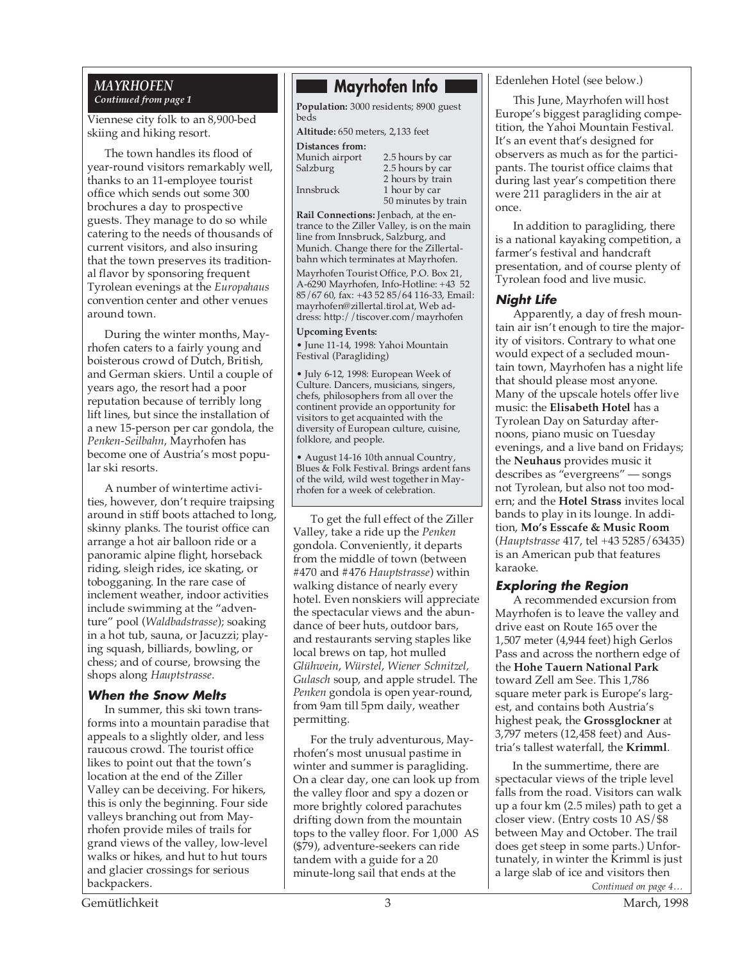#### *MAYRHOFEN Continued from page 1*

Viennese city folk to an 8,900-bed skiing and hiking resort.

The town handles its flood of year-round visitors remarkably well, thanks to an 11-employee tourist office which sends out some 300 brochures a day to prospective guests. They manage to do so while catering to the needs of thousands of current visitors, and also insuring that the town preserves its traditional flavor by sponsoring frequent Tyrolean evenings at the *Europahaus* convention center and other venues around town.

During the winter months, Mayrhofen caters to a fairly young and boisterous crowd of Dutch, British, and German skiers. Until a couple of years ago, the resort had a poor reputation because of terribly long lift lines, but since the installation of a new 15-person per car gondola, the *Penken-Seilbahn*, Mayrhofen has become one of Austria's most popular ski resorts.

A number of wintertime activities, however, don't require traipsing around in stiff boots attached to long, skinny planks. The tourist office can arrange a hot air balloon ride or a panoramic alpine flight, horseback riding, sleigh rides, ice skating, or tobogganing. In the rare case of inclement weather, indoor activities include swimming at the "adventure" pool (*Waldbadstrasse*); soaking in a hot tub, sauna, or Jacuzzi; playing squash, billiards, bowling, or chess; and of course, browsing the shops along *Hauptstrasse*.

#### **When the Snow Melts**

In summer, this ski town transforms into a mountain paradise that appeals to a slightly older, and less raucous crowd. The tourist office likes to point out that the town's location at the end of the Ziller Valley can be deceiving. For hikers, this is only the beginning. Four side valleys branching out from Mayrhofen provide miles of trails for grand views of the valley, low-level walks or hikes, and hut to hut tours and glacier crossings for serious backpackers.

# **Mayrhofen Info**

**Population:** 3000 residents; 8900 guest beds

**Altitude:** 650 meters, 2,133 feet

## **Distances from:**

Munich airport 2.5 hours by car<br>Salzburg 2.5 hours by car 2.5 hours by car 2 hours by train Innsbruck 1 hour by car 50 minutes by train

**Rail Connections:** Jenbach, at the entrance to the Ziller Valley, is on the main line from Innsbruck, Salzburg, and Munich. Change there for the Zillertalbahn which terminates at Mayrhofen.

Mayrhofen Tourist Office, P.O. Box 21, A-6290 Mayrhofen, Info-Hotline: +43 52 85/67 60, fax: +43 52 85/64 116-33, Email: mayrhofen@zillertal.tirol.at, Web address: http://tiscover.com/mayrhofen

#### **Upcoming Events:**

• June 11-14, 1998: Yahoi Mountain Festival (Paragliding)

• July 6-12, 1998: European Week of Culture. Dancers, musicians, singers, chefs, philosophers from all over the continent provide an opportunity for visitors to get acquainted with the diversity of European culture, cuisine, folklore, and people.

• August 14-16 10th annual Country, Blues & Folk Festival. Brings ardent fans of the wild, wild west together in Mayrhofen for a week of celebration.

To get the full effect of the Ziller Valley, take a ride up the *Penken* gondola. Conveniently, it departs from the middle of town (between #470 and #476 *Hauptstrasse*) within walking distance of nearly every hotel. Even nonskiers will appreciate the spectacular views and the abundance of beer huts, outdoor bars, and restaurants serving staples like local brews on tap, hot mulled *Glühwein*, *Würstel*, *Wiener Schnitzel, Gulasch* soup, and apple strudel. The *Penken* gondola is open year-round, from 9am till 5pm daily, weather permitting.

For the truly adventurous, Mayrhofen's most unusual pastime in winter and summer is paragliding. On a clear day, one can look up from the valley floor and spy a dozen or more brightly colored parachutes drifting down from the mountain tops to the valley floor. For 1,000 AS (\$79), adventure-seekers can ride tandem with a guide for a 20 minute-long sail that ends at the

Edenlehen Hotel (see below.)

This June, Mayrhofen will host Europe's biggest paragliding competition, the Yahoi Mountain Festival. It's an event that's designed for observers as much as for the participants. The tourist office claims that during last year's competition there were 211 paragliders in the air at once.

In addition to paragliding, there is a national kayaking competition, a farmer's festival and handcraft presentation, and of course plenty of Tyrolean food and live music.

#### **Night Life**

Apparently, a day of fresh mountain air isn't enough to tire the majority of visitors. Contrary to what one would expect of a secluded mountain town, Mayrhofen has a night life that should please most anyone. Many of the upscale hotels offer live music: the **Elisabeth Hotel** has a Tyrolean Day on Saturday afternoons, piano music on Tuesday evenings, and a live band on Fridays; the **Neuhaus** provides music it describes as "evergreens" — songs not Tyrolean, but also not too modern; and the **Hotel Strass** invites local bands to play in its lounge. In addition, **Mo's Esscafe & Music Room** (*Hauptstrasse* 417, tel +43 5285/63435) is an American pub that features karaoke.

#### **Exploring the Region**

A recommended excursion from Mayrhofen is to leave the valley and drive east on Route 165 over the 1,507 meter (4,944 feet) high Gerlos Pass and across the northern edge of the **Hohe Tauern National Park** toward Zell am See. This 1,786 square meter park is Europe's largest, and contains both Austria's highest peak, the **Grossglockner** at 3,797 meters (12,458 feet) and Austria's tallest waterfall, the **Krimml**.

*Continued on page 4…* In the summertime, there are spectacular views of the triple level falls from the road. Visitors can walk up a four km (2.5 miles) path to get a closer view. (Entry costs 10 AS/\$8 between May and October. The trail does get steep in some parts.) Unfortunately, in winter the Krimml is just a large slab of ice and visitors then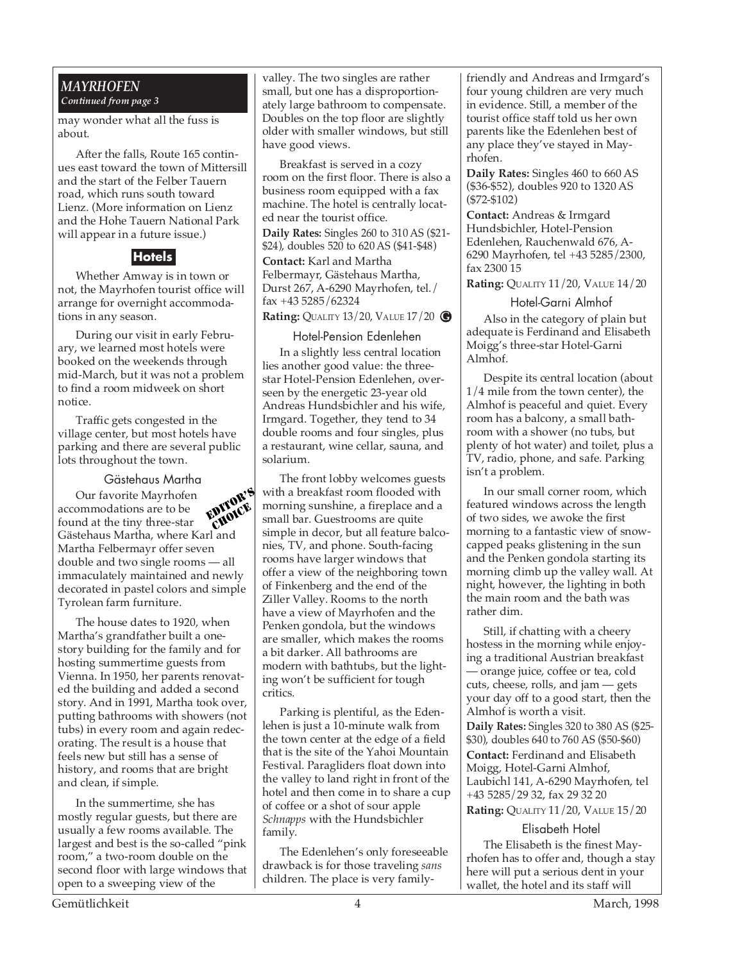#### *MAYRHOFEN Continued from page 3*

may wonder what all the fuss is about.

After the falls, Route 165 continues east toward the town of Mittersill and the start of the Felber Tauern road, which runs south toward Lienz. (More information on Lienz and the Hohe Tauern National Park will appear in a future issue.)

### **Hotels**

Whether Amway is in town or not, the Mayrhofen tourist office will arrange for overnight accommodations in any season.

During our visit in early February, we learned most hotels were booked on the weekends through mid-March, but it was not a problem to find a room midweek on short notice.

Traffic gets congested in the village center, but most hotels have parking and there are several public lots throughout the town.

#### Gästehaus Martha

Our favorite Mayrhofen accommodations are to be found at the tiny three-star Gästehaus Martha, where Karl and Martha Felbermayr offer seven double and two single rooms — all immaculately maintained and newly decorated in pastel colors and simple Tyrolean farm furniture. EDITOR'S CHOICE

The house dates to 1920, when Martha's grandfather built a onestory building for the family and for hosting summertime guests from Vienna. In 1950, her parents renovated the building and added a second story. And in 1991, Martha took over, putting bathrooms with showers (not tubs) in every room and again redecorating. The result is a house that feels new but still has a sense of history, and rooms that are bright and clean, if simple.

In the summertime, she has mostly regular guests, but there are usually a few rooms available. The largest and best is the so-called "pink room," a two-room double on the second floor with large windows that open to a sweeping view of the

valley. The two singles are rather small, but one has a disproportionately large bathroom to compensate. Doubles on the top floor are slightly older with smaller windows, but still have good views.

Breakfast is served in a cozy room on the first floor. There is also a business room equipped with a fax machine. The hotel is centrally located near the tourist office.

**Daily Rates:** Singles 260 to 310 AS (\$21- \$24), doubles 520 to 620 AS (\$41-\$48)

**Contact:** Karl and Martha Felbermayr, Gästehaus Martha, Durst 267, A-6290 Mayrhofen, tel./ fax +43 5285/62324

**Rating:** QUALITY 13/20, VALUE 17/20 **G**

#### Hotel-Pension Edenlehen

In a slightly less central location lies another good value: the threestar Hotel-Pension Edenlehen, overseen by the energetic 23-year old Andreas Hundsbichler and his wife, Irmgard. Together, they tend to 34 double rooms and four singles, plus a restaurant, wine cellar, sauna, and solarium.

The front lobby welcomes guests with a breakfast room flooded with morning sunshine, a fireplace and a small bar. Guestrooms are quite simple in decor, but all feature balconies, TV, and phone. South-facing rooms have larger windows that offer a view of the neighboring town of Finkenberg and the end of the Ziller Valley. Rooms to the north have a view of Mayrhofen and the Penken gondola, but the windows are smaller, which makes the rooms a bit darker. All bathrooms are modern with bathtubs, but the lighting won't be sufficient for tough critics.

Parking is plentiful, as the Edenlehen is just a 10-minute walk from the town center at the edge of a field that is the site of the Yahoi Mountain Festival. Paragliders float down into the valley to land right in front of the hotel and then come in to share a cup of coffee or a shot of sour apple *Schnapps* with the Hundsbichler family.

The Edenlehen's only foreseeable drawback is for those traveling *sans* children. The place is very familyfriendly and Andreas and Irmgard's four young children are very much in evidence. Still, a member of the tourist office staff told us her own parents like the Edenlehen best of any place they've stayed in Mayrhofen.

**Daily Rates:** Singles 460 to 660 AS (\$36-\$52), doubles 920 to 1320 AS (\$72-\$102)

**Contact:** Andreas & Irmgard Hundsbichler, Hotel-Pension Edenlehen, Rauchenwald 676, A-6290 Mayrhofen, tel +43 5285/2300, fax 2300 15

**Rating:** QUALITY 11/20, VALUE 14/20

Hotel-Garni Almhof Also in the category of plain but adequate is Ferdinand and Elisabeth Moigg's three-star Hotel-Garni Almhof.

Despite its central location (about 1/4 mile from the town center), the Almhof is peaceful and quiet. Every room has a balcony, a small bathroom with a shower (no tubs, but plenty of hot water) and toilet, plus a TV, radio, phone, and safe. Parking isn't a problem.

In our small corner room, which featured windows across the length of two sides, we awoke the first morning to a fantastic view of snowcapped peaks glistening in the sun and the Penken gondola starting its morning climb up the valley wall. At night, however, the lighting in both the main room and the bath was rather dim.

Still, if chatting with a cheery hostess in the morning while enjoying a traditional Austrian breakfast — orange juice, coffee or tea, cold cuts, cheese, rolls, and jam — gets your day off to a good start, then the Almhof is worth a visit.

**Daily Rates:** Singles 320 to 380 AS (\$25- \$30), doubles 640 to 760 AS (\$50-\$60)

**Contact:** Ferdinand and Elisabeth Moigg, Hotel-Garni Almhof, Laubichl 141, A-6290 Mayrhofen, tel +43 5285/29 32, fax 29 32 20

**Rating:** QUALITY 11/20, VALUE 15/20

#### Elisabeth Hotel

The Elisabeth is the finest Mayrhofen has to offer and, though a stay here will put a serious dent in your wallet, the hotel and its staff will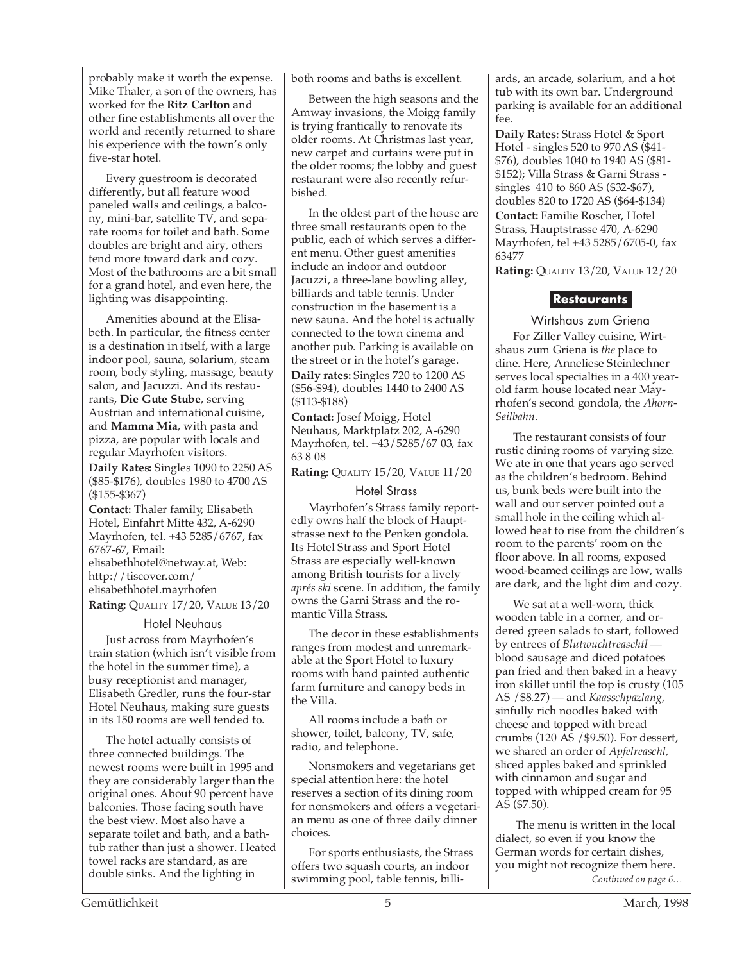probably make it worth the expense. Mike Thaler, a son of the owners, has worked for the **Ritz Carlton** and other fine establishments all over the world and recently returned to share his experience with the town's only five-star hotel.

Every guestroom is decorated differently, but all feature wood paneled walls and ceilings, a balcony, mini-bar, satellite TV, and separate rooms for toilet and bath. Some doubles are bright and airy, others tend more toward dark and cozy. Most of the bathrooms are a bit small for a grand hotel, and even here, the lighting was disappointing.

Amenities abound at the Elisabeth. In particular, the fitness center is a destination in itself, with a large indoor pool, sauna, solarium, steam room, body styling, massage, beauty salon, and Jacuzzi. And its restaurants, **Die Gute Stube**, serving Austrian and international cuisine, and **Mamma Mia**, with pasta and pizza, are popular with locals and regular Mayrhofen visitors.

**Daily Rates:** Singles 1090 to 2250 AS (\$85-\$176), doubles 1980 to 4700 AS (\$155-\$367)

**Contact:** Thaler family, Elisabeth Hotel, Einfahrt Mitte 432, A-6290 Mayrhofen, tel. +43 5285/6767, fax 6767-67, Email: elisabethhotel@netway.at, Web: http://tiscover.com/ elisabethhotel.mayrhofen **Rating:** QUALITY 17/20, VALUE 13/20

#### Hotel Neuhaus

Just across from Mayrhofen's train station (which isn't visible from the hotel in the summer time), a busy receptionist and manager, Elisabeth Gredler, runs the four-star Hotel Neuhaus, making sure guests in its 150 rooms are well tended to.

The hotel actually consists of three connected buildings. The newest rooms were built in 1995 and they are considerably larger than the original ones. About 90 percent have balconies. Those facing south have the best view. Most also have a separate toilet and bath, and a bathtub rather than just a shower. Heated towel racks are standard, as are double sinks. And the lighting in

both rooms and baths is excellent.

Between the high seasons and the Amway invasions, the Moigg family is trying frantically to renovate its older rooms. At Christmas last year, new carpet and curtains were put in the older rooms; the lobby and guest restaurant were also recently refurbished.

In the oldest part of the house are three small restaurants open to the public, each of which serves a different menu. Other guest amenities include an indoor and outdoor Jacuzzi, a three-lane bowling alley, billiards and table tennis. Under construction in the basement is a new sauna. And the hotel is actually connected to the town cinema and another pub. Parking is available on the street or in the hotel's garage.

**Daily rates:** Singles 720 to 1200 AS (\$56-\$94), doubles 1440 to 2400 AS (\$113-\$188)

**Contact:** Josef Moigg, Hotel Neuhaus, Marktplatz 202, A-6290 Mayrhofen, tel. +43/5285/67 03, fax 63 8 08

**Rating:** QUALITY 15/20, VALUE 11/20

#### Hotel Strass

Mayrhofen's Strass family reportedly owns half the block of Hauptstrasse next to the Penken gondola. Its Hotel Strass and Sport Hotel Strass are especially well-known among British tourists for a lively *aprés ski* scene. In addition, the family owns the Garni Strass and the romantic Villa Strass.

The decor in these establishments ranges from modest and unremarkable at the Sport Hotel to luxury rooms with hand painted authentic farm furniture and canopy beds in the Villa.

All rooms include a bath or shower, toilet, balcony, TV, safe, radio, and telephone.

Nonsmokers and vegetarians get special attention here: the hotel reserves a section of its dining room for nonsmokers and offers a vegetarian menu as one of three daily dinner choices.

For sports enthusiasts, the Strass offers two squash courts, an indoor swimming pool, table tennis, billiards, an arcade, solarium, and a hot tub with its own bar. Underground parking is available for an additional fee.

**Daily Rates:** Strass Hotel & Sport Hotel - singles 520 to 970 AS (\$41- \$76), doubles 1040 to 1940 AS (\$81- \$152); Villa Strass & Garni Strass singles 410 to 860 AS (\$32-\$67), doubles 820 to 1720 AS (\$64-\$134) **Contact:** Familie Roscher, Hotel Strass, Hauptstrasse 470, A-6290 Mayrhofen, tel +43 5285/6705-0, fax 63477

**Rating:** QUALITY 13/20, VALUE 12/20

### **Restaurants**

Wirtshaus zum Griena For Ziller Valley cuisine, Wirtshaus zum Griena is *the* place to dine. Here, Anneliese Steinlechner serves local specialties in a 400 yearold farm house located near Mayrhofen's second gondola, the *Ahorn-Seilbahn*.

The restaurant consists of four rustic dining rooms of varying size. We ate in one that years ago served as the children's bedroom. Behind us, bunk beds were built into the wall and our server pointed out a small hole in the ceiling which allowed heat to rise from the children's room to the parents' room on the floor above. In all rooms, exposed wood-beamed ceilings are low, walls are dark, and the light dim and cozy.

We sat at a well-worn, thick wooden table in a corner, and ordered green salads to start, followed by entrees of *Blutwuchtreaschtl* blood sausage and diced potatoes pan fried and then baked in a heavy iron skillet until the top is crusty (105 AS /\$8.27) — and *Kaasschpazlang*, sinfully rich noodles baked with cheese and topped with bread crumbs (120 AS /\$9.50). For dessert, we shared an order of *Apfelreaschl*, sliced apples baked and sprinkled with cinnamon and sugar and topped with whipped cream for 95 AS (\$7.50).

*Continued on page 6…* The menu is written in the local dialect, so even if you know the German words for certain dishes, you might not recognize them here.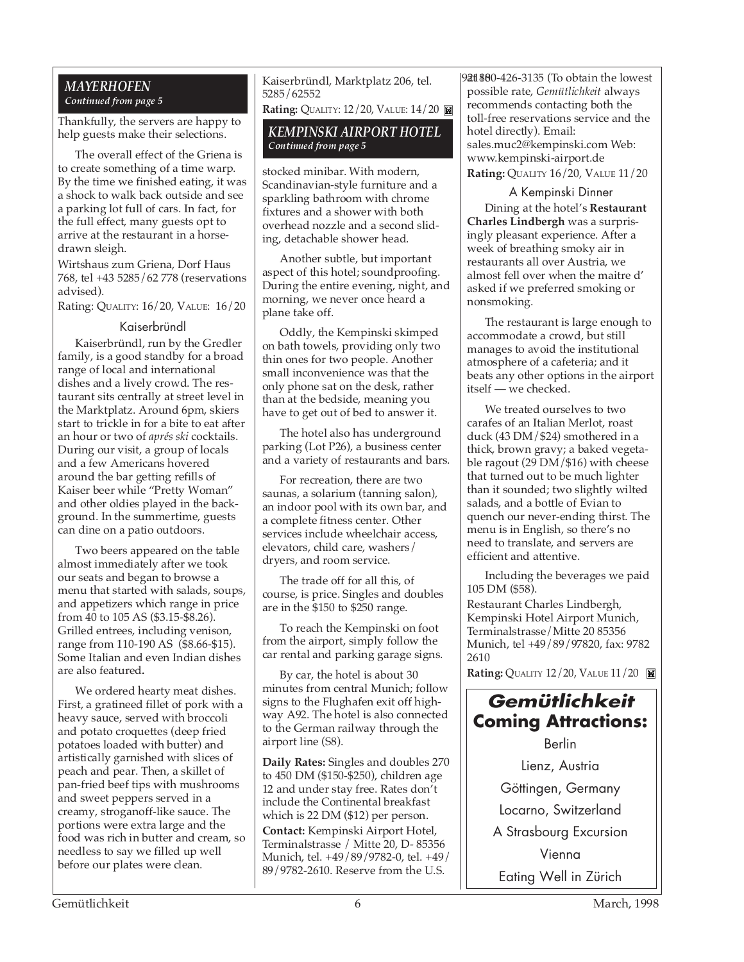#### *MAYERHOFEN Continued from page 5*

Thankfully, the servers are happy to help guests make their selections.

The overall effect of the Griena is to create something of a time warp. By the time we finished eating, it was a shock to walk back outside and see a parking lot full of cars. In fact, for the full effect, many guests opt to arrive at the restaurant in a horsedrawn sleigh.

Wirtshaus zum Griena, Dorf Haus 768, tel +43 5285/62 778 (reservations advised).

Rating: QUALITY: 16/20, VALUE: 16/20

#### Kaiserbründl

Kaiserbründl, run by the Gredler family, is a good standby for a broad range of local and international dishes and a lively crowd. The restaurant sits centrally at street level in the Marktplatz. Around 6pm, skiers start to trickle in for a bite to eat after an hour or two of *aprés ski* cocktails. During our visit, a group of locals and a few Americans hovered around the bar getting refills of Kaiser beer while "Pretty Woman" and other oldies played in the background. In the summertime, guests can dine on a patio outdoors.

Two beers appeared on the table almost immediately after we took our seats and began to browse a menu that started with salads, soups, and appetizers which range in price from 40 to 105 AS (\$3.15-\$8.26). Grilled entrees, including venison, range from 110-190 AS (\$8.66-\$15). Some Italian and even Indian dishes are also featured**.**

We ordered hearty meat dishes. First, a gratineed fillet of pork with a heavy sauce, served with broccoli and potato croquettes (deep fried potatoes loaded with butter) and artistically garnished with slices of peach and pear. Then, a skillet of pan-fried beef tips with mushrooms and sweet peppers served in a creamy, stroganoff-like sauce. The portions were extra large and the food was rich in butter and cream, so needless to say we filled up well before our plates were clean.

Kaiserbründl, Marktplatz 206, tel. 5285/62552 **Rating: QUALITY: 12/20, VALUE: 14/20 <b>M** 

*KEMPINSKI AIRPORT HOTEL Continued from page 5*

stocked minibar. With modern, Scandinavian-style furniture and a sparkling bathroom with chrome fixtures and a shower with both overhead nozzle and a second slid-

ing, detachable shower head.

Another subtle, but important aspect of this hotel; soundproofing. During the entire evening, night, and morning, we never once heard a plane take off.

Oddly, the Kempinski skimped on bath towels, providing only two thin ones for two people. Another small inconvenience was that the only phone sat on the desk, rather than at the bedside, meaning you have to get out of bed to answer it.

The hotel also has underground parking (Lot P26), a business center and a variety of restaurants and bars.

For recreation, there are two saunas, a solarium (tanning salon), an indoor pool with its own bar, and a complete fitness center. Other services include wheelchair access, elevators, child care, washers/ dryers, and room service.

The trade off for all this, of course, is price. Singles and doubles are in the \$150 to \$250 range.

To reach the Kempinski on foot from the airport, simply follow the car rental and parking garage signs.

By car, the hotel is about 30 minutes from central Munich; follow signs to the Flughafen exit off highway A92. The hotel is also connected to the German railway through the airport line (S8).

**Daily Rates:** Singles and doubles 270 to 450 DM (\$150-\$250), children age 12 and under stay free. Rates don't include the Continental breakfast which is 22 DM (\$12) per person.

**Contact:** Kempinski Airport Hotel, Terminalstrasse / Mitte 20, D- 85356 Munich, tel. +49/89/9782-0, tel. +49/ 89/9782-2610. Reserve from the U.S.

9**21 88**0-426-3135 (To obtain the lowest possible rate, *Gemütlichkeit* always recommends contacting both the toll-free reservations service and the hotel directly). Email: sales.muc2@kempinski.com Web: www.kempinski-airport.de **Rating:** QUALITY 16/20, VALUE 11/20

#### A Kempinski Dinner

Dining at the hotel's **Restaurant Charles Lindbergh** was a surprisingly pleasant experience. After a week of breathing smoky air in restaurants all over Austria, we almost fell over when the maitre d' asked if we preferred smoking or nonsmoking.

The restaurant is large enough to accommodate a crowd, but still manages to avoid the institutional atmosphere of a cafeteria; and it beats any other options in the airport itself — we checked.

We treated ourselves to two carafes of an Italian Merlot, roast duck (43 DM/\$24) smothered in a thick, brown gravy; a baked vegetable ragout (29 DM/\$16) with cheese that turned out to be much lighter than it sounded; two slightly wilted salads, and a bottle of Evian to quench our never-ending thirst. The menu is in English, so there's no need to translate, and servers are efficient and attentive.

Including the beverages we paid 105 DM (\$58).

Restaurant Charles Lindbergh, Kempinski Hotel Airport Munich, Terminalstrasse/Mitte 20 85356 Munich, tel +49/89/97820, fax: 9782 2610

**Rating: QUALITY 12/20, VALUE 11/20** 

# **Gemütlichkeit Coming Attractions:**

Berlin Lienz, Austria Göttingen, Germany Locarno, Switzerland A Strasbourg Excursion Vienna Eating Well in Zürich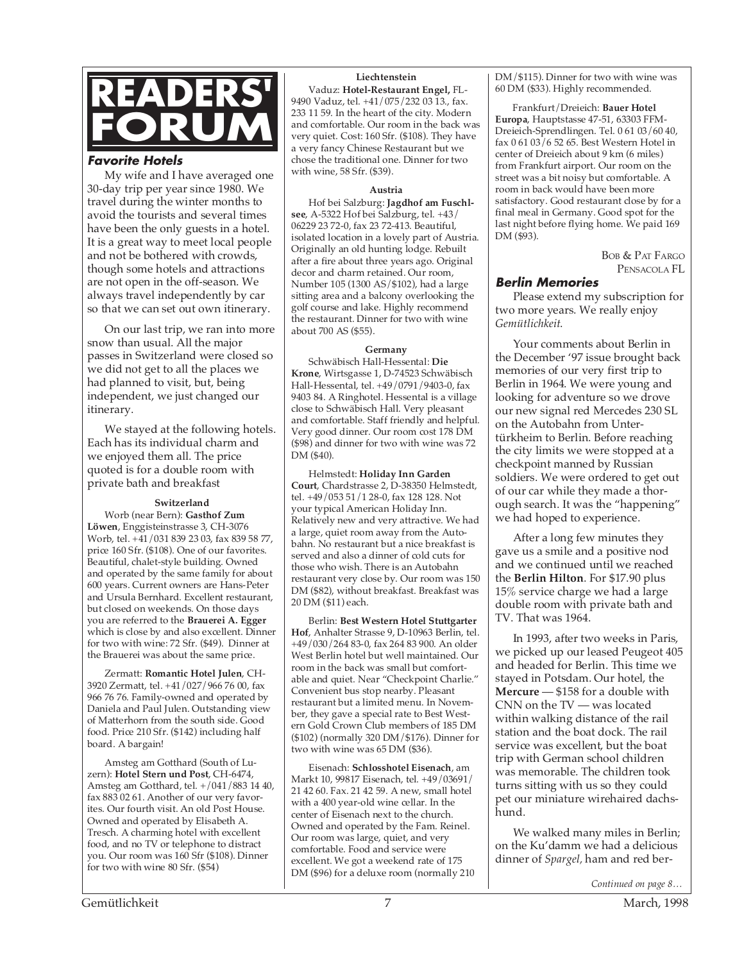

#### **Favorite Hotels**

My wife and I have averaged one 30-day trip per year since 1980. We travel during the winter months to avoid the tourists and several times have been the only guests in a hotel. It is a great way to meet local people and not be bothered with crowds, though some hotels and attractions are not open in the off-season. We always travel independently by car so that we can set out own itinerary.

On our last trip, we ran into more snow than usual. All the major passes in Switzerland were closed so we did not get to all the places we had planned to visit, but, being independent, we just changed our itinerary.

We stayed at the following hotels. Each has its individual charm and we enjoyed them all. The price quoted is for a double room with private bath and breakfast

#### **Switzerland**

Worb (near Bern): **Gasthof Zum Löwen**, Enggisteinstrasse 3, CH-3076 Worb, tel. +41/031 839 23 03, fax 839 58 77, price 160 Sfr. (\$108). One of our favorites. Beautiful, chalet-style building. Owned and operated by the same family for about 600 years. Current owners are Hans-Peter and Ursula Bernhard. Excellent restaurant, but closed on weekends. On those days you are referred to the **Brauerei A. Egger** which is close by and also excellent. Dinner for two with wine: 72 Sfr. (\$49). Dinner at the Brauerei was about the same price.

Zermatt: **Romantic Hotel Julen**, CH-3920 Zermatt, tel. +41/027/966 76 00, fax 966 76 76. Family-owned and operated by Daniela and Paul Julen. Outstanding view of Matterhorn from the south side. Good food. Price 210 Sfr. (\$142) including half board. A bargain!

Amsteg am Gotthard (South of Luzern): **Hotel Stern und Post**, CH-6474, Amsteg am Gotthard, tel. +/041/883 14 40, fax 883 02 61. Another of our very favorites. Our fourth visit. An old Post House. Owned and operated by Elisabeth A. Tresch. A charming hotel with excellent food, and no TV or telephone to distract you. Our room was 160 Sfr (\$108). Dinner for two with wine 80 Sfr. (\$54)

#### **Liechtenstein**

Vaduz: **Hotel-Restaurant Engel,** FL-9490 Vaduz, tel. +41/075/232 03 13., fax. 233 11 59. In the heart of the city. Modern and comfortable. Our room in the back was very quiet. Cost: 160 Sfr. (\$108). They have a very fancy Chinese Restaurant but we chose the traditional one. Dinner for two with wine, 58 Sfr. (\$39).

#### **Austria**

Hof bei Salzburg: **Jagdhof am Fuschlsee**, A-5322 Hof bei Salzburg, tel. +43/ 06229 23 72-0, fax 23 72-413. Beautiful, isolated location in a lovely part of Austria. Originally an old hunting lodge. Rebuilt after a fire about three years ago. Original decor and charm retained. Our room, Number 105 (1300 AS/\$102), had a large sitting area and a balcony overlooking the golf course and lake. Highly recommend the restaurant. Dinner for two with wine about 700 AS (\$55).

#### **Germany**

Schwäbisch Hall-Hessental: **Die Krone**, Wirtsgasse 1, D-74523 Schwäbisch Hall-Hessental, tel. +49/0791/9403-0, fax 9403 84. A Ringhotel. Hessental is a village close to Schwäbisch Hall. Very pleasant and comfortable. Staff friendly and helpful. Very good dinner. Our room cost 178 DM (\$98) and dinner for two with wine was 72 DM (\$40).

Helmstedt: **Holiday Inn Garden Court**, Chardstrasse 2, D-38350 Helmstedt, tel. +49/053 51/1 28-0, fax 128 128. Not your typical American Holiday Inn. Relatively new and very attractive. We had a large, quiet room away from the Autobahn. No restaurant but a nice breakfast is served and also a dinner of cold cuts for those who wish. There is an Autobahn restaurant very close by. Our room was 150 DM (\$82), without breakfast. Breakfast was 20 DM (\$11) each.

Berlin: **Best Western Hotel Stuttgarter Hof**, Anhalter Strasse 9, D-10963 Berlin, tel. +49/030/264 83-0, fax 264 83 900. An older West Berlin hotel but well maintained. Our room in the back was small but comfortable and quiet. Near "Checkpoint Charlie." Convenient bus stop nearby. Pleasant restaurant but a limited menu. In November, they gave a special rate to Best Western Gold Crown Club members of 185 DM (\$102) (normally 320 DM/\$176). Dinner for two with wine was 65 DM (\$36).

Eisenach: **Schlosshotel Eisenach**, am Markt 10, 99817 Eisenach, tel. +49/03691/ 21 42 60. Fax. 21 42 59. A new, small hotel with a 400 year-old wine cellar. In the center of Eisenach next to the church. Owned and operated by the Fam. Reinel. Our room was large, quiet, and very comfortable. Food and service were excellent. We got a weekend rate of 175 DM (\$96) for a deluxe room (normally 210 DM/\$115). Dinner for two with wine was 60 DM (\$33). Highly recommended.

Frankfurt/Dreieich: **Bauer Hotel Europa**, Hauptstasse 47-51, 63303 FFM-Dreieich-Sprendlingen. Tel. 0 61 03/60 40, fax 0 61 03/6 52 65. Best Western Hotel in center of Dreieich about 9 km (6 miles) from Frankfurt airport. Our room on the street was a bit noisy but comfortable. A room in back would have been more satisfactory. Good restaurant close by for a final meal in Germany. Good spot for the last night before flying home. We paid 169 DM (\$93).

> BOB & PAT FARGO PENSACOLA FL

#### **Berlin Memories**

Please extend my subscription for two more years. We really enjoy *Gemütlichkeit*.

Your comments about Berlin in the December '97 issue brought back memories of our very first trip to Berlin in 1964. We were young and looking for adventure so we drove our new signal red Mercedes 230 SL on the Autobahn from Untertürkheim to Berlin. Before reaching the city limits we were stopped at a checkpoint manned by Russian soldiers. We were ordered to get out of our car while they made a thorough search. It was the "happening" we had hoped to experience.

After a long few minutes they gave us a smile and a positive nod and we continued until we reached the **Berlin Hilton**. For \$17.90 plus 15% service charge we had a large double room with private bath and TV. That was 1964.

In 1993, after two weeks in Paris, we picked up our leased Peugeot 405 and headed for Berlin. This time we stayed in Potsdam. Our hotel, the **Mercure** — \$158 for a double with CNN on the TV — was located within walking distance of the rail station and the boat dock. The rail service was excellent, but the boat trip with German school children was memorable. The children took turns sitting with us so they could pet our miniature wirehaired dachshund.

We walked many miles in Berlin; on the Ku'damm we had a delicious dinner of *Spargel,* ham and red ber-

*Continued on page 8…*